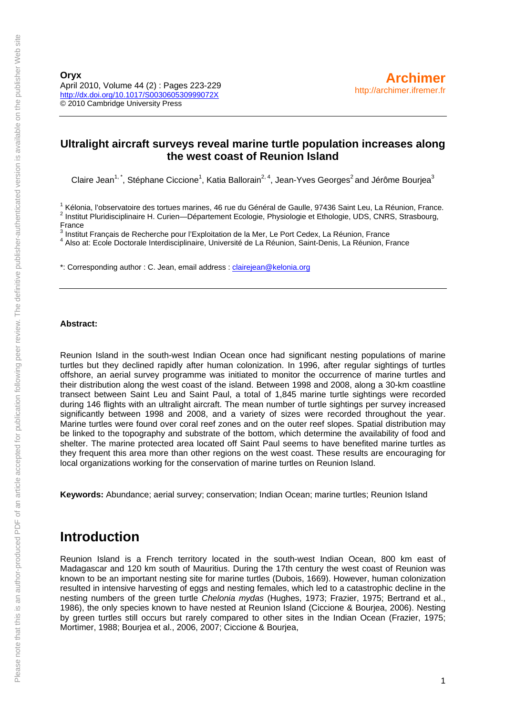**Oryx**  April 2010, Volume 44 (2) : Pages 223-229 <http://dx.doi.org/10.1017/S003060530999072X> © 2010 Cambridge University Press

## **Ultralight aircraft surveys reveal marine turtle population increases along the west coast of Reunion Island**

Claire Jean<sup>1,\*</sup>, Stéphane Ciccione<sup>1</sup>, Katia Ballorain<sup>2, 4</sup>, Jean-Yves Georges<sup>2</sup> and Jérôme Bourjea<sup>3</sup>

<sup>1</sup> Kélonia, l'observatoire des tortues marines, 46 rue du Général de Gaulle, 97436 Saint Leu, La Réunion, France.<br><sup>2</sup> lectiur Pluridiosiplinaire H. Curion, Département Fealagie, Physiologie et Ethologie, UPS, CNPS, Strasb <sup>2</sup> Institut Pluridisciplinaire H. Curien—Département Ecologie, Physiologie et Ethologie, UDS, CNRS, Strasbourg,

France<br><sup>3</sup> Inctitu

Institut Français de Recherche pour l'Exploitation de la Mer, Le Port Cedex, La Réunion, France 4

4 Also at: Ecole Doctorale Interdisciplinaire, Université de La Réunion, Saint-Denis, La Réunion, France

\*: Corresponding author : C. Jean, email address : [clairejean@kelonia.org](mailto:clairejean@kelonia.org)

#### **Abstract:**

Reunion Island in the south-west Indian Ocean once had significant nesting populations of marine turtles but they declined rapidly after human colonization. In 1996, after regular sightings of turtles offshore, an aerial survey programme was initiated to monitor the occurrence of marine turtles and their distribution along the west coast of the island. Between 1998 and 2008, along a 30-km coastline transect between Saint Leu and Saint Paul, a total of 1,845 marine turtle sightings were recorded during 146 flights with an ultralight aircraft. The mean number of turtle sightings per survey increased significantly between 1998 and 2008, and a variety of sizes were recorded throughout the year. Marine turtles were found over coral reef zones and on the outer reef slopes. Spatial distribution may be linked to the topography and substrate of the bottom, which determine the availability of food and shelter. The marine protected area located off Saint Paul seems to have benefited marine turtles as they frequent this area more than other regions on the west coast. These results are encouraging for local organizations working for the conservation of marine turtles on Reunion Island.

**Keywords:** Abundance; aerial survey; conservation; Indian Ocean; marine turtles; Reunion Island

# **Introduction**

Reunion Island is a French territory located in the south-west Indian Ocean, 800 km east of Madagascar and 120 km south of Mauritius. During the 17th century the west coast of Reunion was known to be an important nesting site for marine turtles (Dubois, 1669). However, human colonization resulted in intensive harvesting of eggs and nesting females, which led to a catastrophic decline in the nesting numbers of the green turtle *Chelonia mydas* (Hughes, 1973; Frazier, 1975; Bertrand et al., 1986), the only species known to have nested at Reunion Island (Ciccione & Bourjea, 2006). Nesting by green turtles still occurs but rarely compared to other sites in the Indian Ocean (Frazier, 1975; Mortimer, 1988; Bourjea et al., 2006, 2007; Ciccione & Bourjea,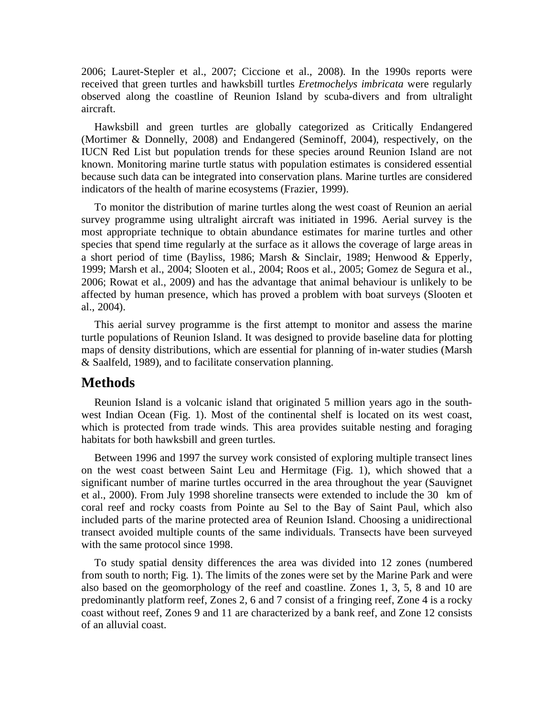2006; Lauret-Stepler et al., 2007; Ciccione et al., 2008). In the 1990s reports were received that green turtles and hawksbill turtles *Eretmochelys imbricata* were regularly observed along the coastline of Reunion Island by scuba-divers and from ultralight aircraft.

Hawksbill and green turtles are globally categorized as Critically Endangered (Mortimer & Donnelly, 2008) and Endangered (Seminoff, 2004), respectively, on the IUCN Red List but population trends for these species around Reunion Island are not known. Monitoring marine turtle status with population estimates is considered essential because such data can be integrated into conservation plans. Marine turtles are considered indicators of the health of marine ecosystems (Frazier, 1999).

To monitor the distribution of marine turtles along the west coast of Reunion an aerial survey programme using ultralight aircraft was initiated in 1996. Aerial survey is the most appropriate technique to obtain abundance estimates for marine turtles and other species that spend time regularly at the surface as it allows the coverage of large areas in a short period of time (Bayliss, 1986; Marsh & Sinclair, 1989; Henwood & Epperly, 1999; Marsh et al., 2004; Slooten et al., 2004; Roos et al., 2005; Gomez de Segura et al., 2006; Rowat et al., 2009) and has the advantage that animal behaviour is unlikely to be affected by human presence, which has proved a problem with boat surveys (Slooten et al., 2004).

This aerial survey programme is the first attempt to monitor and assess the marine turtle populations of Reunion Island. It was designed to provide baseline data for plotting maps of density distributions, which are essential for planning of in-water studies (Marsh & Saalfeld, 1989), and to facilitate conservation planning.

### **Methods**

Reunion Island is a volcanic island that originated 5 million years ago in the southwest Indian Ocean (Fig. 1). Most of the continental shelf is located on its west coast, which is protected from trade winds. This area provides suitable nesting and foraging habitats for both hawksbill and green turtles.

Between 1996 and 1997 the survey work consisted of exploring multiple transect lines on the west coast between Saint Leu and Hermitage (Fig. 1), which showed that a significant number of marine turtles occurred in the area throughout the year (Sauvignet et al., 2000). From July 1998 shoreline transects were extended to include the 30 km of coral reef and rocky coasts from Pointe au Sel to the Bay of Saint Paul, which also included parts of the marine protected area of Reunion Island. Choosing a unidirectional transect avoided multiple counts of the same individuals. Transects have been surveyed with the same protocol since 1998.

To study spatial density differences the area was divided into 12 zones (numbered from south to north; Fig. 1). The limits of the zones were set by the Marine Park and were also based on the geomorphology of the reef and coastline. Zones 1, 3, 5, 8 and 10 are predominantly platform reef, Zones 2, 6 and 7 consist of a fringing reef, Zone 4 is a rocky coast without reef, Zones 9 and 11 are characterized by a bank reef, and Zone 12 consists of an alluvial coast.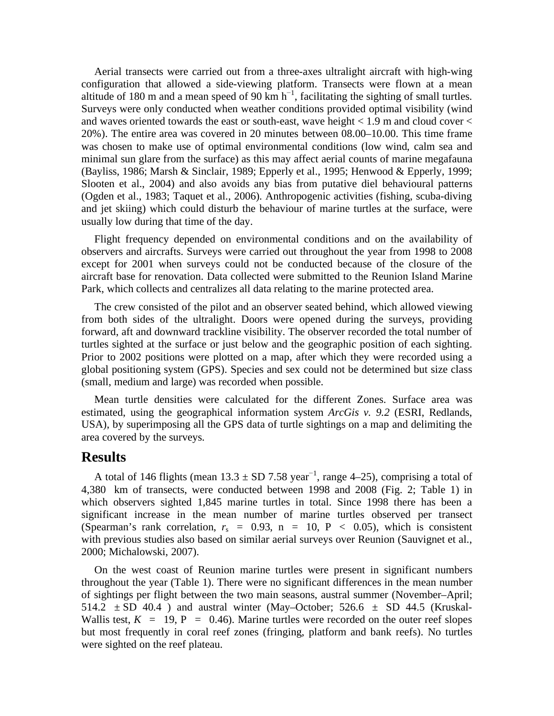Aerial transects were carried out from a three-axes ultralight aircraft with high-wing configuration that allowed a side-viewing platform. Transects were flown at a mean altitude of 180 m and a mean speed of 90  $km h^{-1}$ , facilitating the sighting of small turtles. Surveys were only conducted when weather conditions provided optimal visibility (wind and waves oriented towards the east or south-east, wave height  $< 1.9$  m and cloud cover  $<$ 20%). The entire area was covered in 20 minutes between 08.00–10.00. This time frame was chosen to make use of optimal environmental conditions (low wind, calm sea and minimal sun glare from the surface) as this may affect aerial counts of marine megafauna (Bayliss, 1986; Marsh & Sinclair, 1989; Epperly et al., 1995; Henwood & Epperly, 1999; Slooten et al., 2004) and also avoids any bias from putative diel behavioural patterns (Ogden et al., 1983; Taquet et al., 2006). Anthropogenic activities (fishing, scuba-diving and jet skiing) which could disturb the behaviour of marine turtles at the surface, were usually low during that time of the day.

Flight frequency depended on environmental conditions and on the availability of observers and aircrafts. Surveys were carried out throughout the year from 1998 to 2008 except for 2001 when surveys could not be conducted because of the closure of the aircraft base for renovation. Data collected were submitted to the Reunion Island Marine Park, which collects and centralizes all data relating to the marine protected area.

The crew consisted of the pilot and an observer seated behind, which allowed viewing from both sides of the ultralight. Doors were opened during the surveys, providing forward, aft and downward trackline visibility. The observer recorded the total number of turtles sighted at the surface or just below and the geographic position of each sighting. Prior to 2002 positions were plotted on a map, after which they were recorded using a global positioning system (GPS). Species and sex could not be determined but size class (small, medium and large) was recorded when possible.

Mean turtle densities were calculated for the different Zones. Surface area was estimated, using the geographical information system *ArcGis v. 9.2* (ESRI, Redlands, USA), by superimposing all the GPS data of turtle sightings on a map and delimiting the area covered by the surveys.

#### **Results**

A total of 146 flights (mean  $13.3 \pm SD$  7.58 year<sup>-1</sup>, range 4–25), comprising a total of 4,380 km of transects, were conducted between 1998 and 2008 (Fig. 2; Table 1) in which observers sighted 1,845 marine turtles in total. Since 1998 there has been a significant increase in the mean number of marine turtles observed per transect (Spearman's rank correlation,  $r_s = 0.93$ ,  $n = 10$ ,  $P < 0.05$ ), which is consistent with previous studies also based on similar aerial surveys over Reunion (Sauvignet et al., 2000; Michalowski, 2007).

On the west coast of Reunion marine turtles were present in significant numbers throughout the year (Table 1). There were no significant differences in the mean number of sightings per flight between the two main seasons, austral summer (November–April; 514.2  $\pm$  SD 40.4 ) and austral winter (May–October; 526.6  $\pm$  SD 44.5 (Kruskal-Wallis test,  $K = 19$ ,  $P = 0.46$ ). Marine turtles were recorded on the outer reef slopes but most frequently in coral reef zones (fringing, platform and bank reefs). No turtles were sighted on the reef plateau.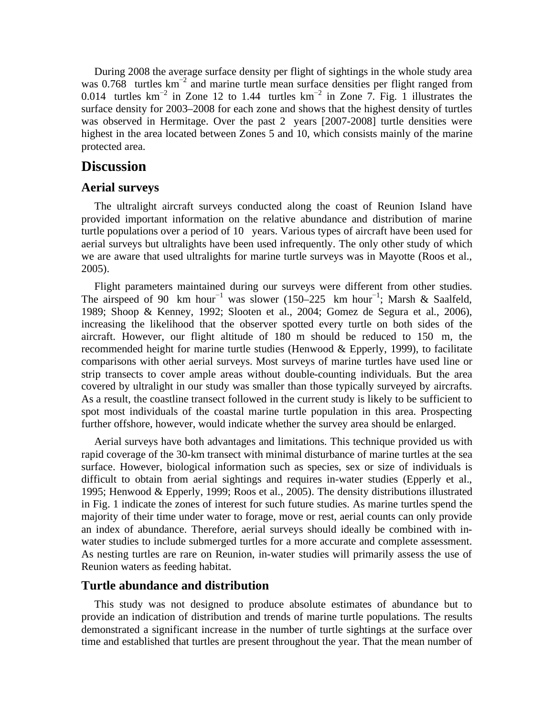During 2008 the average surface density per flight of sightings in the whole study area was 0.768 turtles km<sup>-2</sup> and marine turtle mean surface densities per flight ranged from 0.014 turtles  $km^{-2}$  in Zone 12 to 1.44 turtles  $km^{-2}$  in Zone 7. Fig. 1 illustrates the surface density for 2003–2008 for each zone and shows that the highest density of turtles was observed in Hermitage. Over the past 2 years [2007-2008] turtle densities were highest in the area located between Zones 5 and 10, which consists mainly of the marine protected area.

# **Discussion**

#### **Aerial surveys**

The ultralight aircraft surveys conducted along the coast of Reunion Island have provided important information on the relative abundance and distribution of marine turtle populations over a period of 10 years. Various types of aircraft have been used for aerial surveys but ultralights have been used infrequently. The only other study of which we are aware that used ultralights for marine turtle surveys was in Mayotte (Roos et al., 2005).

Flight parameters maintained during our surveys were different from other studies. The airspeed of 90 km hour<sup>-1</sup> was slower (150–225 km hour<sup>-1</sup>; Marsh & Saalfeld, 1989; Shoop & Kenney, 1992; Slooten et al., 2004; Gomez de Segura et al., 2006), increasing the likelihood that the observer spotted every turtle on both sides of the aircraft. However, our flight altitude of 180 m should be reduced to 150 m, the recommended height for marine turtle studies (Henwood & Epperly, 1999), to facilitate comparisons with other aerial surveys. Most surveys of marine turtles have used line or strip transects to cover ample areas without double-counting individuals. But the area covered by ultralight in our study was smaller than those typically surveyed by aircrafts. As a result, the coastline transect followed in the current study is likely to be sufficient to spot most individuals of the coastal marine turtle population in this area. Prospecting further offshore, however, would indicate whether the survey area should be enlarged.

Aerial surveys have both advantages and limitations. This technique provided us with rapid coverage of the 30-km transect with minimal disturbance of marine turtles at the sea surface. However, biological information such as species, sex or size of individuals is difficult to obtain from aerial sightings and requires in-water studies (Epperly et al., 1995; Henwood & Epperly, 1999; Roos et al., 2005). The density distributions illustrated in Fig. 1 indicate the zones of interest for such future studies. As marine turtles spend the majority of their time under water to forage, move or rest, aerial counts can only provide an index of abundance. Therefore, aerial surveys should ideally be combined with inwater studies to include submerged turtles for a more accurate and complete assessment. As nesting turtles are rare on Reunion, in-water studies will primarily assess the use of Reunion waters as feeding habitat.

### **Turtle abundance and distribution**

This study was not designed to produce absolute estimates of abundance but to provide an indication of distribution and trends of marine turtle populations. The results demonstrated a significant increase in the number of turtle sightings at the surface over time and established that turtles are present throughout the year. That the mean number of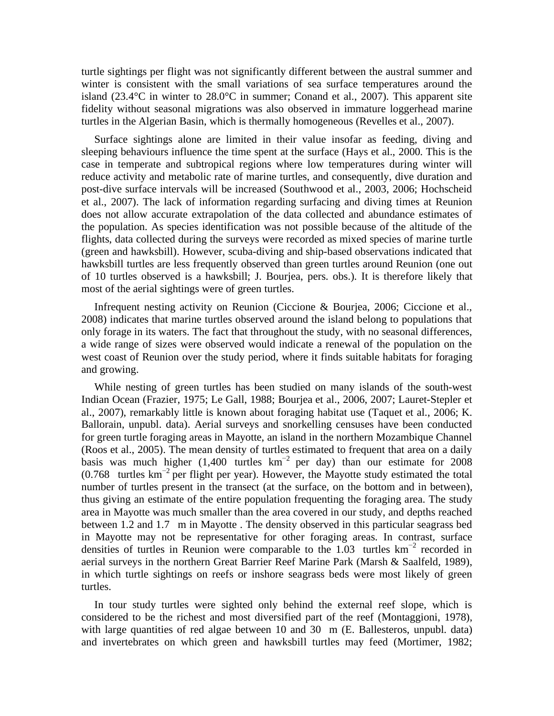turtle sightings per flight was not significantly different between the austral summer and winter is consistent with the small variations of sea surface temperatures around the island  $(23.4^{\circ}$ C in winter to  $28.0^{\circ}$ C in summer; Conand et al., 2007). This apparent site fidelity without seasonal migrations was also observed in immature loggerhead marine turtles in the Algerian Basin, which is thermally homogeneous (Revelles et al., 2007).

Surface sightings alone are limited in their value insofar as feeding, diving and sleeping behaviours influence the time spent at the surface (Hays et al., 2000. This is the case in temperate and subtropical regions where low temperatures during winter will reduce activity and metabolic rate of marine turtles, and consequently, dive duration and post-dive surface intervals will be increased (Southwood et al., 2003, 2006; Hochscheid et al., 2007). The lack of information regarding surfacing and diving times at Reunion does not allow accurate extrapolation of the data collected and abundance estimates of the population. As species identification was not possible because of the altitude of the flights, data collected during the surveys were recorded as mixed species of marine turtle (green and hawksbill). However, scuba-diving and ship-based observations indicated that hawksbill turtles are less frequently observed than green turtles around Reunion (one out of 10 turtles observed is a hawksbill; J. Bourjea, pers. obs.). It is therefore likely that most of the aerial sightings were of green turtles.

Infrequent nesting activity on Reunion (Ciccione & Bourjea, 2006; Ciccione et al., 2008) indicates that marine turtles observed around the island belong to populations that only forage in its waters. The fact that throughout the study, with no seasonal differences, a wide range of sizes were observed would indicate a renewal of the population on the west coast of Reunion over the study period, where it finds suitable habitats for foraging and growing.

While nesting of green turtles has been studied on many islands of the south-west Indian Ocean (Frazier, 1975; Le Gall, 1988; Bourjea et al., 2006, 2007; Lauret-Stepler et al., 2007), remarkably little is known about foraging habitat use (Taquet et al., 2006; K. Ballorain, unpubl. data). Aerial surveys and snorkelling censuses have been conducted for green turtle foraging areas in Mayotte, an island in the northern Mozambique Channel (Roos et al., 2005). The mean density of turtles estimated to frequent that area on a daily basis was much higher  $(1,400 \text{ turtles km}^{-2} \text{ per day})$  than our estimate for 2008  $(0.768$  turtles km<sup>-2</sup> per flight per year). However, the Mayotte study estimated the total number of turtles present in the transect (at the surface, on the bottom and in between), thus giving an estimate of the entire population frequenting the foraging area. The study area in Mayotte was much smaller than the area covered in our study, and depths reached between 1.2 and 1.7 m in Mayotte . The density observed in this particular seagrass bed in Mayotte may not be representative for other foraging areas. In contrast, surface densities of turtles in Reunion were comparable to the  $1.03$  turtles km<sup>-2</sup> recorded in aerial surveys in the northern Great Barrier Reef Marine Park (Marsh & Saalfeld, 1989), in which turtle sightings on reefs or inshore seagrass beds were most likely of green turtles.

In tour study turtles were sighted only behind the external reef slope, which is considered to be the richest and most diversified part of the reef (Montaggioni, 1978), with large quantities of red algae between 10 and 30 m (E. Ballesteros, unpubl. data) and invertebrates on which green and hawksbill turtles may feed (Mortimer, 1982;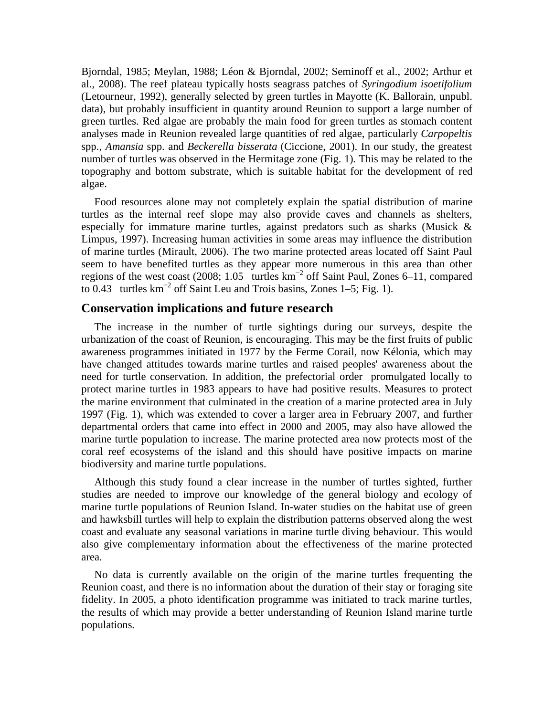Bjorndal, 1985; Meylan, 1988; Léon & Bjorndal, 2002; Seminoff et al., 2002; Arthur et al., 2008). The reef plateau typically hosts seagrass patches of *Syringodium isoetifolium* (Letourneur, 1992), generally selected by green turtles in Mayotte (K. Ballorain, unpubl. data), but probably insufficient in quantity around Reunion to support a large number of green turtles. Red algae are probably the main food for green turtles as stomach content analyses made in Reunion revealed large quantities of red algae, particularly *Carpopeltis* spp., *Amansia* spp. and *Beckerella bisserata* (Ciccione, 2001). In our study, the greatest number of turtles was observed in the Hermitage zone (Fig. 1). This may be related to the topography and bottom substrate, which is suitable habitat for the development of red algae.

Food resources alone may not completely explain the spatial distribution of marine turtles as the internal reef slope may also provide caves and channels as shelters, especially for immature marine turtles, against predators such as sharks (Musick  $\&$ Limpus, 1997). Increasing human activities in some areas may influence the distribution of marine turtles (Mirault, 2006). The two marine protected areas located off Saint Paul seem to have benefited turtles as they appear more numerous in this area than other regions of the west coast (2008; 1.05 turtles  $km^{-2}$  off Saint Paul, Zones 6–11, compared to 0.43 turtles  $km^{-2}$  off Saint Leu and Trois basins, Zones 1–5; Fig. 1).

#### **Conservation implications and future research**

The increase in the number of turtle sightings during our surveys, despite the urbanization of the coast of Reunion, is encouraging. This may be the first fruits of public awareness programmes initiated in 1977 by the Ferme Corail, now Kélonia, which may have changed attitudes towards marine turtles and raised peoples' awareness about the need for turtle conservation. In addition, the prefectorial order promulgated locally to protect marine turtles in 1983 appears to have had positive results. Measures to protect the marine environment that culminated in the creation of a marine protected area in July 1997 (Fig. 1), which was extended to cover a larger area in February 2007, and further departmental orders that came into effect in 2000 and 2005, may also have allowed the marine turtle population to increase. The marine protected area now protects most of the coral reef ecosystems of the island and this should have positive impacts on marine biodiversity and marine turtle populations.

Although this study found a clear increase in the number of turtles sighted, further studies are needed to improve our knowledge of the general biology and ecology of marine turtle populations of Reunion Island. In-water studies on the habitat use of green and hawksbill turtles will help to explain the distribution patterns observed along the west coast and evaluate any seasonal variations in marine turtle diving behaviour. This would also give complementary information about the effectiveness of the marine protected area.

No data is currently available on the origin of the marine turtles frequenting the Reunion coast, and there is no information about the duration of their stay or foraging site fidelity. In 2005, a photo identification programme was initiated to track marine turtles, the results of which may provide a better understanding of Reunion Island marine turtle populations.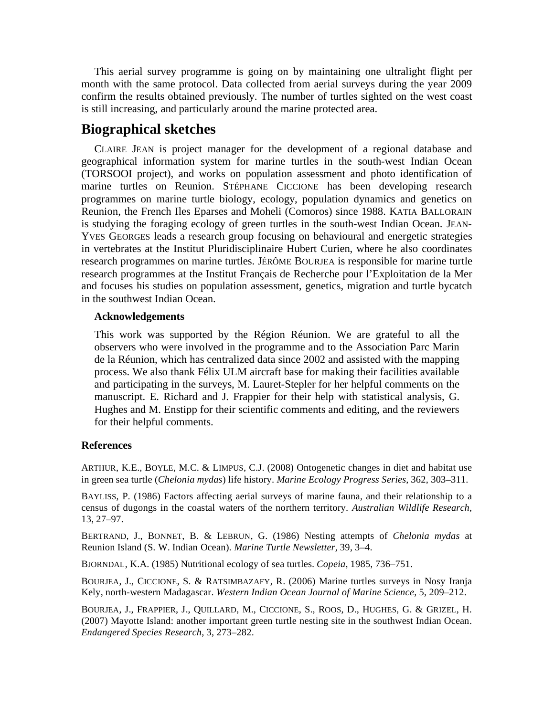This aerial survey programme is going on by maintaining one ultralight flight per month with the same protocol. Data collected from aerial surveys during the year 2009 confirm the results obtained previously. The number of turtles sighted on the west coast is still increasing, and particularly around the marine protected area.

# **Biographical sketches**

CLAIRE JEAN is project manager for the development of a regional database and geographical information system for marine turtles in the south-west Indian Ocean (TORSOOI project), and works on population assessment and photo identification of marine turtles on Reunion. STÉPHANE CICCIONE has been developing research programmes on marine turtle biology, ecology, population dynamics and genetics on Reunion, the French Iles Eparses and Moheli (Comoros) since 1988. KATIA BALLORAIN is studying the foraging ecology of green turtles in the south-west Indian Ocean. JEAN-YVES GEORGES leads a research group focusing on behavioural and energetic strategies in vertebrates at the Institut Pluridisciplinaire Hubert Curien, where he also coordinates research programmes on marine turtles. JÉRÔME BOURJEA is responsible for marine turtle research programmes at the Institut Français de Recherche pour l'Exploitation de la Mer and focuses his studies on population assessment, genetics, migration and turtle bycatch in the southwest Indian Ocean.

#### **Acknowledgements**

This work was supported by the Région Réunion. We are grateful to all the observers who were involved in the programme and to the Association Parc Marin de la Réunion, which has centralized data since 2002 and assisted with the mapping process. We also thank Félix ULM aircraft base for making their facilities available and participating in the surveys, M. Lauret-Stepler for her helpful comments on the manuscript. E. Richard and J. Frappier for their help with statistical analysis, G. Hughes and M. Enstipp for their scientific comments and editing, and the reviewers for their helpful comments.

#### **References**

ARTHUR, K.E., BOYLE, M.C. & LIMPUS, C.J. (2008) Ontogenetic changes in diet and habitat use in green sea turtle (*Chelonia mydas*) life history. *Marine Ecology Progress Series*, 362, 303–311.

BAYLISS, P. (1986) Factors affecting aerial surveys of marine fauna, and their relationship to a census of dugongs in the coastal waters of the northern territory. *Australian Wildlife Research*, 13, 27–97.

BERTRAND, J., BONNET, B. & LEBRUN, G. (1986) Nesting attempts of *Chelonia mydas* at Reunion Island (S. W. Indian Ocean). *Marine Turtle Newsletter*, 39, 3–4.

BJORNDAL, K.A. (1985) Nutritional ecology of sea turtles. *Copeia*, 1985, 736–751.

BOURJEA, J., CICCIONE, S. & RATSIMBAZAFY, R. (2006) Marine turtles surveys in Nosy Iranja Kely, north-western Madagascar. *Western Indian Ocean Journal of Marine Science*, 5, 209–212.

BOURJEA, J., FRAPPIER, J., QUILLARD, M., CICCIONE, S., ROOS, D., HUGHES, G. & GRIZEL, H. (2007) Mayotte Island: another important green turtle nesting site in the southwest Indian Ocean. *Endangered Species Research*, 3, 273–282.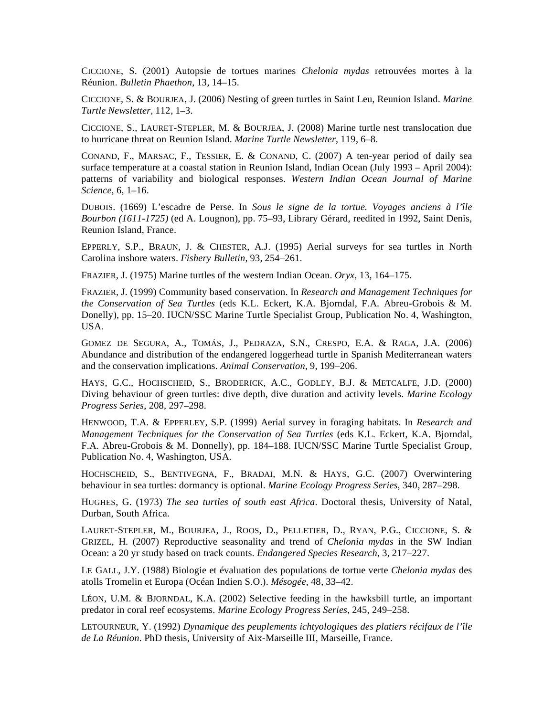CICCIONE, S. (2001) Autopsie de tortues marines *Chelonia mydas* retrouvées mortes à la Réunion. *Bulletin Phaethon*, 13, 14–15.

CICCIONE, S. & BOURJEA, J. (2006) Nesting of green turtles in Saint Leu, Reunion Island. *Marine Turtle Newsletter*, 112, 1–3.

CICCIONE, S., LAURET-STEPLER, M. & BOURJEA, J. (2008) Marine turtle nest translocation due to hurricane threat on Reunion Island. *Marine Turtle Newsletter*, 119, 6–8.

CONAND, F., MARSAC, F., TESSIER, E. & CONAND, C. (2007) A ten-year period of daily sea surface temperature at a coastal station in Reunion Island, Indian Ocean (July 1993 – April 2004): patterns of variability and biological responses. *Western Indian Ocean Journal of Marine Science*, 6, 1–16.

DUBOIS. (1669) L'escadre de Perse. In *Sous le signe de la tortue. Voyages anciens à l'île Bourbon (1611-1725)* (ed A. Lougnon), pp. 75–93, Library Gérard, reedited in 1992, Saint Denis, Reunion Island, France.

EPPERLY, S.P., BRAUN, J. & CHESTER, A.J. (1995) Aerial surveys for sea turtles in North Carolina inshore waters. *Fishery Bulletin*, 93, 254–261.

FRAZIER, J. (1975) Marine turtles of the western Indian Ocean. *Oryx*, 13, 164–175.

FRAZIER, J. (1999) Community based conservation. In *Research and Management Techniques for the Conservation of Sea Turtles* (eds K.L. Eckert, K.A. Bjorndal, F.A. Abreu-Grobois & M. Donelly), pp. 15–20. IUCN/SSC Marine Turtle Specialist Group, Publication No. 4, Washington, USA.

GOMEZ DE SEGURA, A., TOMÁS, J., PEDRAZA, S.N., CRESPO, E.A. & RAGA, J.A. (2006) Abundance and distribution of the endangered loggerhead turtle in Spanish Mediterranean waters and the conservation implications. *Animal Conservation*, 9, 199–206.

HAYS, G.C., HOCHSCHEID, S., BRODERICK, A.C., GODLEY, B.J. & METCALFE, J.D. (2000) Diving behaviour of green turtles: dive depth, dive duration and activity levels. *Marine Ecology Progress Series*, 208, 297–298.

HENWOOD, T.A. & EPPERLEY, S.P. (1999) Aerial survey in foraging habitats. In *Research and Management Techniques for the Conservation of Sea Turtles* (eds K.L. Eckert, K.A. Bjorndal, F.A. Abreu-Grobois & M. Donnelly), pp. 184–188. IUCN/SSC Marine Turtle Specialist Group, Publication No. 4, Washington, USA.

HOCHSCHEID, S., BENTIVEGNA, F., BRADAI, M.N. & HAYS, G.C. (2007) Overwintering behaviour in sea turtles: dormancy is optional. *Marine Ecology Progress Series*, 340, 287–298.

HUGHES, G. (1973) *The sea turtles of south east Africa*. Doctoral thesis, University of Natal, Durban, South Africa.

LAURET-STEPLER, M., BOURJEA, J., ROOS, D., PELLETIER, D., RYAN, P.G., CICCIONE, S. & GRIZEL, H. (2007) Reproductive seasonality and trend of *Chelonia mydas* in the SW Indian Ocean: a 20 yr study based on track counts. *Endangered Species Research*, 3, 217–227.

LE GALL, J.Y. (1988) Biologie et évaluation des populations de tortue verte *Chelonia mydas* des atolls Tromelin et Europa (Océan Indien S.O.). *Mésogée*, 48, 33–42.

LÉON, U.M. & BJORNDAL, K.A. (2002) Selective feeding in the hawksbill turtle, an important predator in coral reef ecosystems. *Marine Ecology Progress Series*, 245, 249–258.

LETOURNEUR, Y. (1992) *Dynamique des peuplements ichtyologiques des platiers récifaux de l'île de La Réunion*. PhD thesis, University of Aix-Marseille III, Marseille, France.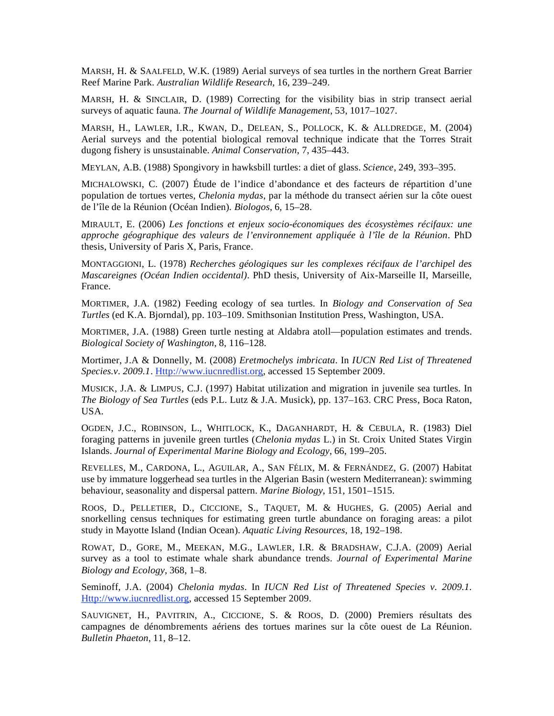MARSH, H. & SAALFELD, W.K. (1989) Aerial surveys of sea turtles in the northern Great Barrier Reef Marine Park. *Australian Wildlife Research*, 16, 239–249.

MARSH, H. & SINCLAIR, D. (1989) Correcting for the visibility bias in strip transect aerial surveys of aquatic fauna. *The Journal of Wildlife Management*, 53, 1017–1027.

MARSH, H., LAWLER, I.R., KWAN, D., DELEAN, S., POLLOCK, K. & ALLDREDGE, M. (2004) Aerial surveys and the potential biological removal technique indicate that the Torres Strait dugong fishery is unsustainable. *Animal Conservation*, 7, 435–443.

MEYLAN, A.B. (1988) Spongivory in hawksbill turtles: a diet of glass. *Science*, 249, 393–395.

MICHALOWSKI, C. (2007) Étude de l'indice d'abondance et des facteurs de répartition d'une population de tortues vertes, *Chelonia mydas*, par la méthode du transect aérien sur la côte ouest de l'île de la Réunion (Océan Indien). *Biologos*, 6, 15–28.

MIRAULT, E. (2006) *Les fonctions et enjeux socio-économiques des écosystèmes récifaux: une approche géographique des valeurs de l'environnement appliquée à l'île de la Réunion*. PhD thesis, University of Paris X, Paris, France.

MONTAGGIONI, L. (1978) *Recherches géologiques sur les complexes récifaux de l'archipel des Mascareignes (Océan Indien occidental)*. PhD thesis, University of Aix-Marseille II, Marseille, France.

MORTIMER, J.A. (1982) Feeding ecology of sea turtles. In *Biology and Conservation of Sea Turtles* (ed K.A. Bjorndal), pp. 103–109. Smithsonian Institution Press, Washington, USA.

MORTIMER, J.A. (1988) Green turtle nesting at Aldabra atoll—population estimates and trends. *Biological Society of Washington*, 8, 116–128.

Mortimer, J.A & Donnelly, M. (2008) *Eretmochelys imbricata*. In *IUCN Red List of Threatened Species.v. 2009.1*. Http://www.iucnredlist.org, accessed 15 September 2009.

MUSICK, J.A. & LIMPUS, C.J. (1997) Habitat utilization and migration in juvenile sea turtles. In *The Biology of Sea Turtles* (eds P.L. Lutz & J.A. Musick), pp. 137–163. CRC Press, Boca Raton, USA.

OGDEN, J.C., ROBINSON, L., WHITLOCK, K., DAGANHARDT, H. & CEBULA, R. (1983) Diel foraging patterns in juvenile green turtles (*Chelonia mydas* L.) in St. Croix United States Virgin Islands. *Journal of Experimental Marine Biology and Ecology*, 66, 199–205.

REVELLES, M., CARDONA, L., AGUILAR, A., SAN FÉLIX, M. & FERNÁNDEZ, G. (2007) Habitat use by immature loggerhead sea turtles in the Algerian Basin (western Mediterranean): swimming behaviour, seasonality and dispersal pattern. *Marine Biology*, 151, 1501–1515.

ROOS, D., PELLETIER, D., CICCIONE, S., TAQUET, M. & HUGHES, G. (2005) Aerial and snorkelling census techniques for estimating green turtle abundance on foraging areas: a pilot study in Mayotte Island (Indian Ocean). *Aquatic Living Resources*, 18, 192–198.

ROWAT, D., GORE, M., MEEKAN, M.G., LAWLER, I.R. & BRADSHAW, C.J.A. (2009) Aerial survey as a tool to estimate whale shark abundance trends. *Journal of Experimental Marine Biology and Ecology*, 368, 1–8.

Seminoff, J.A. (2004) *Chelonia mydas*. In *IUCN Red List of Threatened Species v. 2009.1*. Http://www.iucnredlist.org, accessed 15 September 2009.

SAUVIGNET, H., PAVITRIN, A., CICCIONE, S. & ROOS, D. (2000) Premiers résultats des campagnes de dénombrements aériens des tortues marines sur la côte ouest de La Réunion. *Bulletin Phaeton*, 11, 8–12.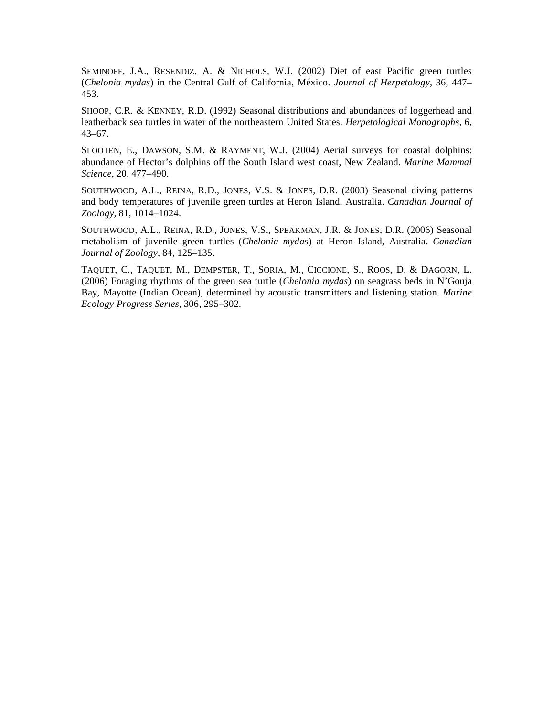SEMINOFF, J.A., RESENDIZ, A. & NICHOLS, W.J. (2002) Diet of east Pacific green turtles (*Chelonia mydas*) in the Central Gulf of California, México. *Journal of Herpetology*, 36, 447– 453.

SHOOP, C.R. & KENNEY, R.D. (1992) Seasonal distributions and abundances of loggerhead and leatherback sea turtles in water of the northeastern United States. *Herpetological Monographs*, 6, 43–67.

SLOOTEN, E., DAWSON, S.M. & RAYMENT, W.J. (2004) Aerial surveys for coastal dolphins: abundance of Hector's dolphins off the South Island west coast, New Zealand. *Marine Mammal Science*, 20, 477–490.

SOUTHWOOD, A.L., REINA, R.D., JONES, V.S. & JONES, D.R. (2003) Seasonal diving patterns and body temperatures of juvenile green turtles at Heron Island, Australia. *Canadian Journal of Zoology*, 81, 1014–1024.

SOUTHWOOD, A.L., REINA, R.D., JONES, V.S., SPEAKMAN, J.R. & JONES, D.R. (2006) Seasonal metabolism of juvenile green turtles (*Chelonia mydas*) at Heron Island, Australia. *Canadian Journal of Zoology*, 84, 125–135.

TAQUET, C., TAQUET, M., DEMPSTER, T., SORIA, M., CICCIONE, S., ROOS, D. & DAGORN, L. (2006) Foraging rhythms of the green sea turtle (*Chelonia mydas*) on seagrass beds in N'Gouja Bay, Mayotte (Indian Ocean), determined by acoustic transmitters and listening station. *Marine Ecology Progress Series*, 306, 295–302.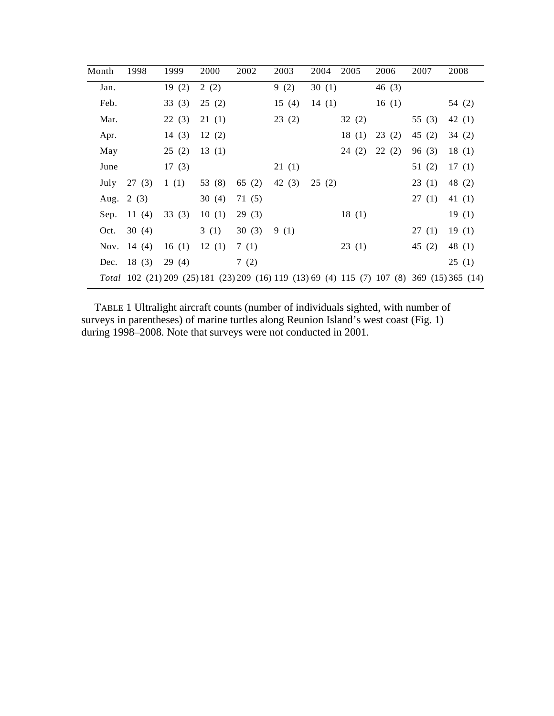| Month | 1998     | 1999     | 2000     | 2002     | 2003  | 2004  | 2005  | 2006  | 2007     | 2008                                                                                        |
|-------|----------|----------|----------|----------|-------|-------|-------|-------|----------|---------------------------------------------------------------------------------------------|
| Jan.  |          | 19(2)    | 2(2)     |          | 9(2)  | 30(1) |       | 46(3) |          |                                                                                             |
| Feb.  |          | 33(3)    | 25(2)    |          | 15(4) | 14(1) |       | 16(1) |          | 54 (2)                                                                                      |
| Mar.  |          | 22(3)    | 21(1)    |          | 23(2) |       | 32(2) |       | 55 (3)   | 42 $(1)$                                                                                    |
| Apr.  |          | 14 $(3)$ | 12(2)    |          |       |       | 18(1) | 23(2) | 45 $(2)$ | 34(2)                                                                                       |
| May   |          | 25(2)    | 13(1)    |          |       |       | 24(2) | 22(2) | 96(3)    | 18(1)                                                                                       |
| June  |          | 17(3)    |          |          | 21(1) |       |       |       | 51 (2)   | 17(1)                                                                                       |
| July  | 27(3)    | 1(1)     | 53 $(8)$ | 65 $(2)$ | 42(3) | 25(2) |       |       | 23(1)    | 48 $(2)$                                                                                    |
| Aug.  | 2(3)     |          | 30(4)    | 71 (5)   |       |       |       |       | 27(1)    | 41 $(1)$                                                                                    |
| Sep.  | 11(4)    | 33(3)    | 10(1)    | 29(3)    |       |       | 18(1) |       |          | 19(1)                                                                                       |
| Oct.  | 30 $(4)$ |          | 3(1)     | 30(3)    | 9(1)  |       |       |       | 27(1)    | 19(1)                                                                                       |
| Nov.  | 14 $(4)$ | 16(1)    | 12(1)    | 7(1)     |       |       | 23(1) |       | 45 $(2)$ | 48 $(1)$                                                                                    |
| Dec.  | 18(3)    | 29(4)    |          | 7(2)     |       |       |       |       |          | 25(1)                                                                                       |
|       |          |          |          |          |       |       |       |       |          | Total 102 (21) 209 (25) 181 (23) 209 (16) 119 (13) 69 (4) 115 (7) 107 (8) 369 (15) 365 (14) |

TABLE 1 Ultralight aircraft counts (number of individuals sighted, with number of surveys in parentheses) of marine turtles along Reunion Island's west coast (Fig. 1) during 1998–2008. Note that surveys were not conducted in 2001.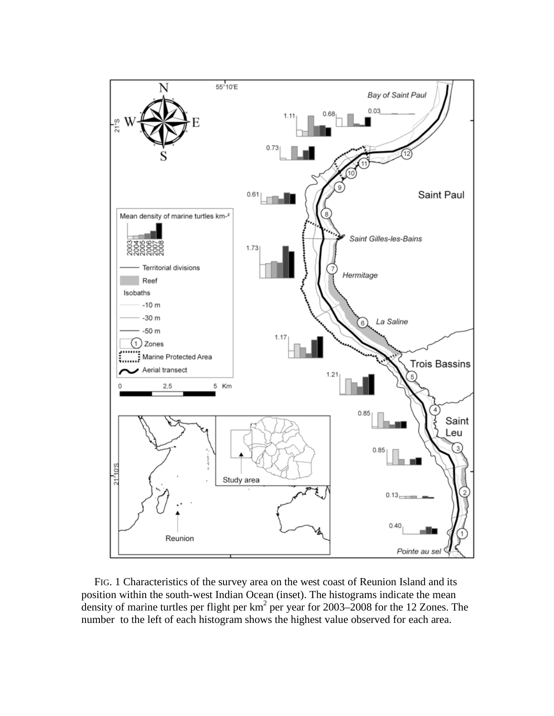

FIG. 1 Characteristics of the survey area on the west coast of Reunion Island and its position within the south-west Indian Ocean (inset). The histograms indicate the mean density of marine turtles per flight per  $km^2$  per year for 2003–2008 for the 12 Zones. The number to the left of each histogram shows the highest value observed for each area.